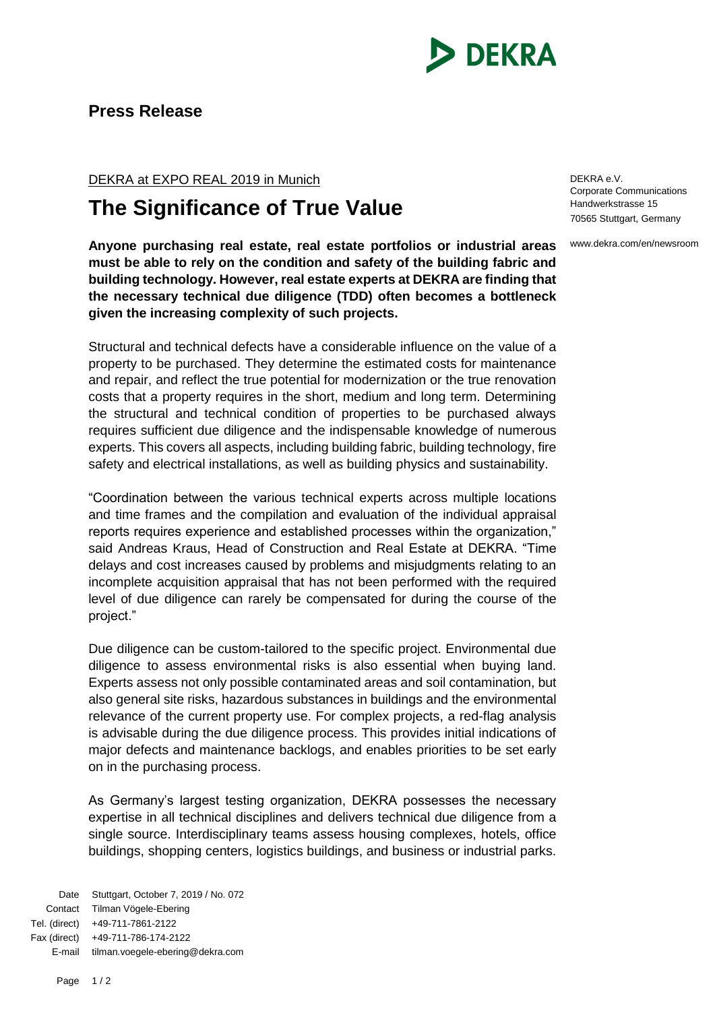

## **Press Release**

DEKRA at EXPO REAL 2019 in Munich

## **The Significance of True Value**

**Anyone purchasing real estate, real estate portfolios or industrial areas must be able to rely on the condition and safety of the building fabric and building technology. However, real estate experts at DEKRA are finding that the necessary technical due diligence (TDD) often becomes a bottleneck given the increasing complexity of such projects.**

Structural and technical defects have a considerable influence on the value of a property to be purchased. They determine the estimated costs for maintenance and repair, and reflect the true potential for modernization or the true renovation costs that a property requires in the short, medium and long term. Determining the structural and technical condition of properties to be purchased always requires sufficient due diligence and the indispensable knowledge of numerous experts. This covers all aspects, including building fabric, building technology, fire safety and electrical installations, as well as building physics and sustainability.

"Coordination between the various technical experts across multiple locations and time frames and the compilation and evaluation of the individual appraisal reports requires experience and established processes within the organization," said Andreas Kraus, Head of Construction and Real Estate at DEKRA. "Time delays and cost increases caused by problems and misjudgments relating to an incomplete acquisition appraisal that has not been performed with the required level of due diligence can rarely be compensated for during the course of the project."

Due diligence can be custom-tailored to the specific project. Environmental due diligence to assess environmental risks is also essential when buying land. Experts assess not only possible contaminated areas and soil contamination, but also general site risks, hazardous substances in buildings and the environmental relevance of the current property use. For complex projects, a red-flag analysis is advisable during the due diligence process. This provides initial indications of major defects and maintenance backlogs, and enables priorities to be set early on in the purchasing process.

As Germany's largest testing organization, DEKRA possesses the necessary expertise in all technical disciplines and delivers technical due diligence from a single source. Interdisciplinary teams assess housing complexes, hotels, office buildings, shopping centers, logistics buildings, and business or industrial parks.

Date Stuttgart, October 7, 2019 / No. 072 Contact Tilman Vögele-Ebering Tel. (direct) +49-711-7861-2122 Fax (direct) +49-711-786-174-2122 E-mail tilman.voegele-ebering@dekra.com

DEKRA e.V. Corporate Communications Handwerkstrasse 15 70565 Stuttgart, Germany

www.dekra.com/en/newsroom